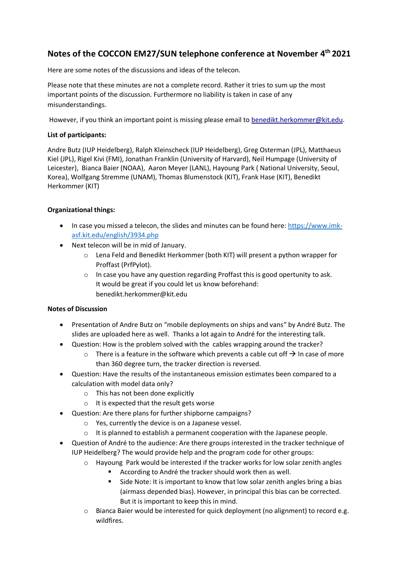## **Notes of the COCCON EM27/SUN telephone conference at November 4 th 2021**

Here are some notes of the discussions and ideas of the telecon.

Please note that these minutes are not a complete record. Rather it tries to sum up the most important points of the discussion. Furthermore no liability is taken in case of any misunderstandings.

However, if you think an important point is missing please email to [benedikt.herkommer@kit.edu.](mailto:benedikt.herkommer@kit.edu)

## **List of participants:**

Andre Butz (IUP Heidelberg), Ralph Kleinscheck (IUP Heidelberg), Greg Osterman (JPL), Matthaeus Kiel (JPL), Rigel Kivi (FMI), Jonathan Franklin (University of Harvard), Neil Humpage (University of Leicester), Bianca Baier (NOAA), Aaron Meyer (LANL), Hayoung Park ( National University, Seoul, Korea), Wolfgang Stremme (UNAM), Thomas Blumenstock (KIT), Frank Hase (KIT), Benedikt Herkommer (KIT)

## **Organizational things:**

- In case you missed a telecon, the slides and minutes can be found here: [https://www.imk](https://www.imk-asf.kit.edu/english/3934.php)[asf.kit.edu/english/3934.php](https://www.imk-asf.kit.edu/english/3934.php)
- Next telecon will be in mid of January.
	- o Lena Feld and Benedikt Herkommer (both KIT) will present a python wrapper for Proffast (PrfPylot).
	- o In case you have any question regarding Proffast this is good opertunity to ask. It would be great if you could let us know beforehand: benedikt.herkommer@kit.edu

## **Notes of Discussion**

- Presentation of Andre Butz on "mobile deployments on ships and vans" by André Butz. The slides are uploaded here as well. Thanks a lot again to André for the interesting talk.
- Question: How is the problem solved with the cables wrapping around the tracker?
	- $\circ$  There is a feature in the software which prevents a cable cut off  $\rightarrow$  In case of more than 360 degree turn, the tracker direction is reversed.
- Question: Have the results of the instantaneous emission estimates been compared to a calculation with model data only?
	- o This has not been done explicitly
	- o It is expected that the result gets worse
- Question: Are there plans for further shipborne campaigns?
	- o Yes, currently the device is on a Japanese vessel.
	- $\circ$  It is planned to establish a permanent cooperation with the Japanese people.
- Question of André to the audience: Are there groups interested in the tracker technique of IUP Heidelberg? The would provide help and the program code for other groups:
	- $\circ$  Hayoung Park would be interested if the tracker works for low solar zenith angles
		- According to André the tracker should work then as well.
		- Side Note: It is important to know that low solar zenith angles bring a bias (airmass depended bias). However, in principal this bias can be corrected. But it is important to keep this in mind.
	- o Bianca Baier would be interested for quick deployment (no alignment) to record e.g. wildfires.